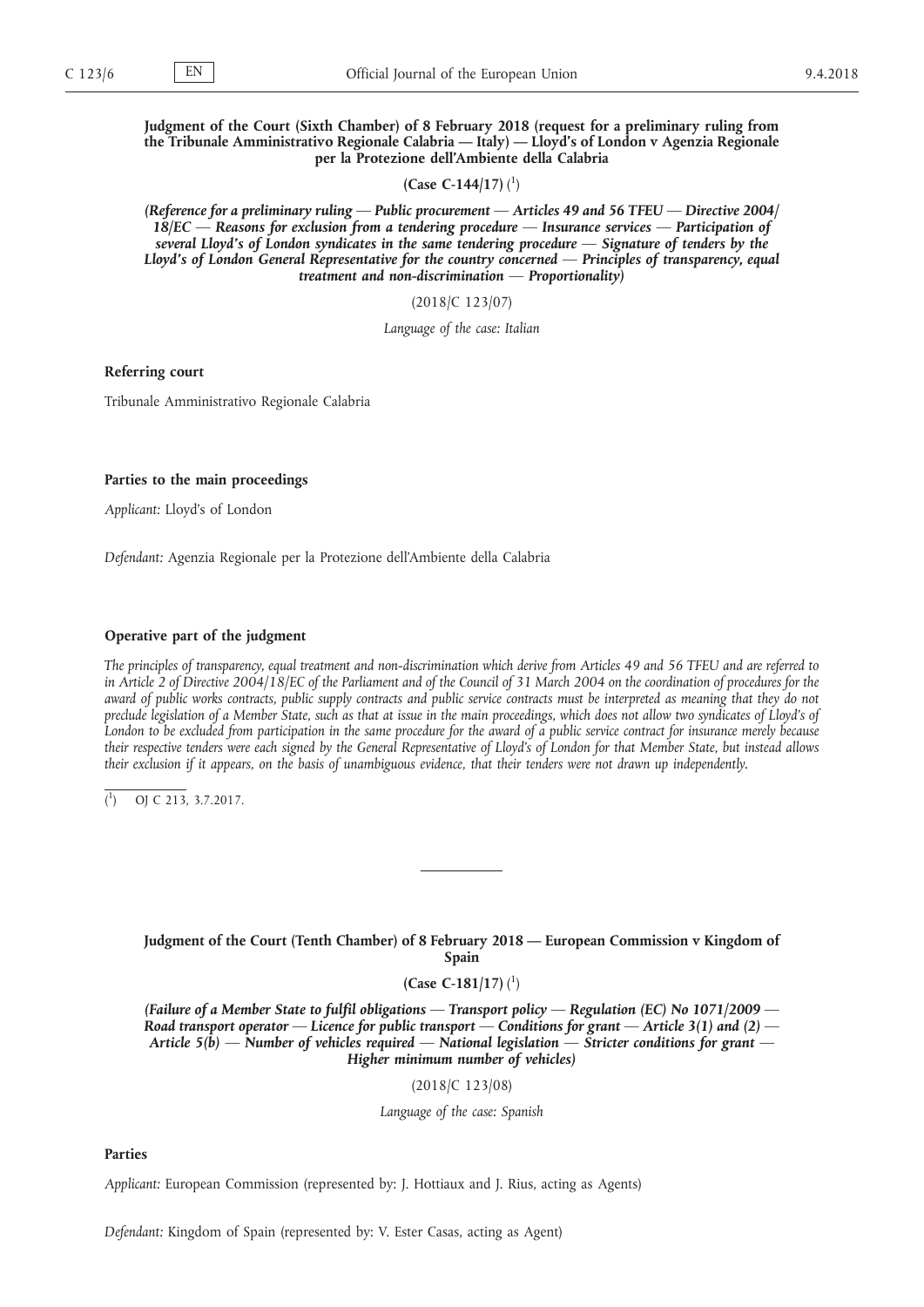**Judgment of the Court (Sixth Chamber) of 8 February 2018 (request for a preliminary ruling from the Tribunale Amministrativo Regionale Calabria — Italy) — Lloyd's of London v Agenzia Regionale per la Protezione dell'Ambiente della Calabria**

**(Case C-144/17)** ( 1 )

*(Reference for a preliminary ruling — Public procurement — Articles 49 and 56 TFEU — Directive 2004/ 18/EC — Reasons for exclusion from a tendering procedure — Insurance services — Participation of several Lloyd's of London syndicates in the same tendering procedure — Signature of tenders by the Lloyd's of London General Representative for the country concerned — Principles of transparency, equal treatment and non-discrimination — Proportionality)*

(2018/C 123/07)

*Language of the case: Italian*

**Referring court**

Tribunale Amministrativo Regionale Calabria

## **Parties to the main proceedings**

*Applicant:* Lloyd's of London

*Defendant:* Agenzia Regionale per la Protezione dell'Ambiente della Calabria

# **Operative part of the judgment**

*The principles of transparency, equal treatment and non-discrimination which derive from Articles 49 and 56 TFEU and are referred to in Article 2 of Directive 2004/18/EC of the Parliament and of the Council of 31 March 2004 on the coordination of procedures for the award of public works contracts, public supply contracts and public service contracts must be interpreted as meaning that they do not*  preclude legislation of a Member State, such as that at issue in the main proceedings, which does not allow two syndicates of Lloyd's of London to be excluded from participation in the same procedure for the award of a public service contract for insurance merely because *their respective tenders were each signed by the General Representative of Lloyd's of London for that Member State, but instead allows their exclusion if it appears, on the basis of unambiguous evidence, that their tenders were not drawn up independently.* 

( 1 ) OJ C 213, 3.7.2017.

# **Judgment of the Court (Tenth Chamber) of 8 February 2018 — European Commission v Kingdom of Spain**

# **(Case C-181/17)** ( 1 )

*(Failure of a Member State to fulfil obligations — Transport policy — Regulation (EC) No 1071/2009 — Road transport operator — Licence for public transport — Conditions for grant — Article 3(1) and (2) — Article 5(b) — Number of vehicles required — National legislation — Stricter conditions for grant — Higher minimum number of vehicles)*

(2018/C 123/08)

*Language of the case: Spanish*

## **Parties**

*Applicant:* European Commission (represented by: J. Hottiaux and J. Rius, acting as Agents)

*Defendant:* Kingdom of Spain (represented by: V. Ester Casas, acting as Agent)